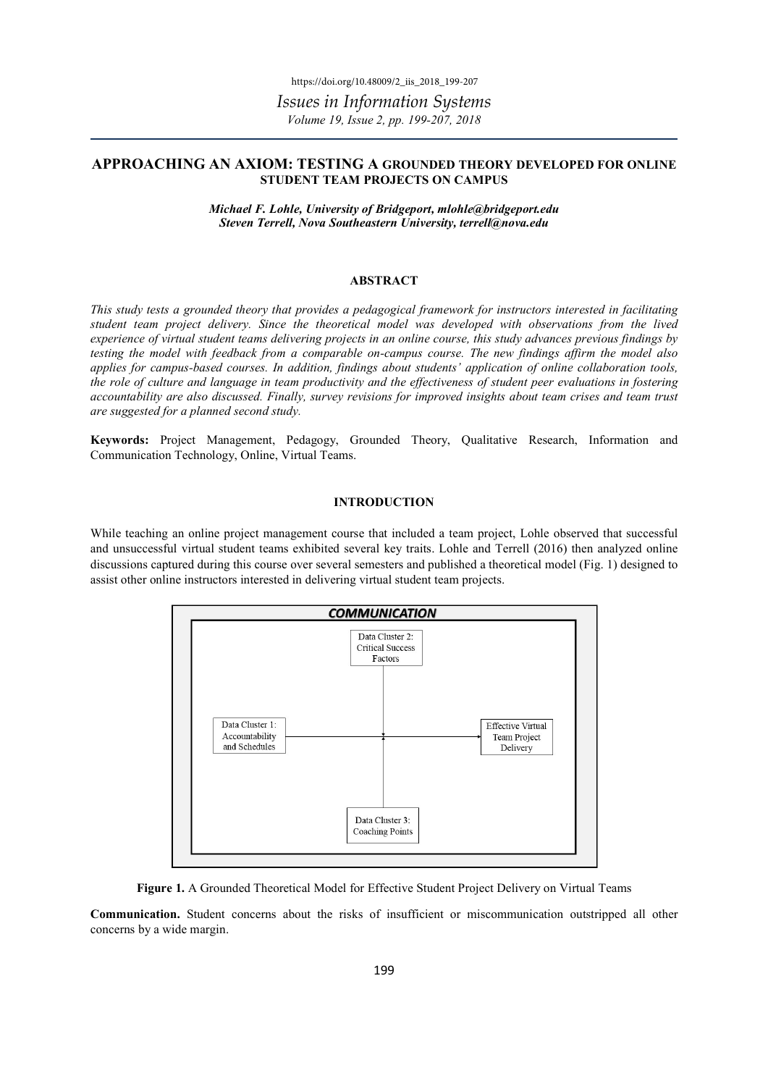# APPROACHING AN AXIOM: TESTING A GROUNDED THEORY DEVELOPED FOR ONLINE STUDENT TEAM PROJECTS ON CAMPUS

Michael F. Lohle, University of Bridgeport, mlohle@bridgeport.edu Steven Terrell, Nova Southeastern University, terrell@nova.edu

#### ABSTRACT

This study tests a grounded theory that provides a pedagogical framework for instructors interested in facilitating student team project delivery. Since the theoretical model was developed with observations from the lived experience of virtual student teams delivering projects in an online course, this study advances previous findings by testing the model with feedback from a comparable on-campus course. The new findings affirm the model also applies for campus-based courses. In addition, findings about students' application of online collaboration tools, the role of culture and language in team productivity and the effectiveness of student peer evaluations in fostering accountability are also discussed. Finally, survey revisions for improved insights about team crises and team trust are suggested for a planned second study.

Keywords: Project Management, Pedagogy, Grounded Theory, Qualitative Research, Information and Communication Technology, Online, Virtual Teams.

### INTRODUCTION

While teaching an online project management course that included a team project, Lohle observed that successful and unsuccessful virtual student teams exhibited several key traits. Lohle and Terrell (2016) then analyzed online discussions captured during this course over several semesters and published a theoretical model (Fig. 1) designed to assist other online instructors interested in delivering virtual student team projects.



Figure 1. A Grounded Theoretical Model for Effective Student Project Delivery on Virtual Teams

Communication. Student concerns about the risks of insufficient or miscommunication outstripped all other concerns by a wide margin.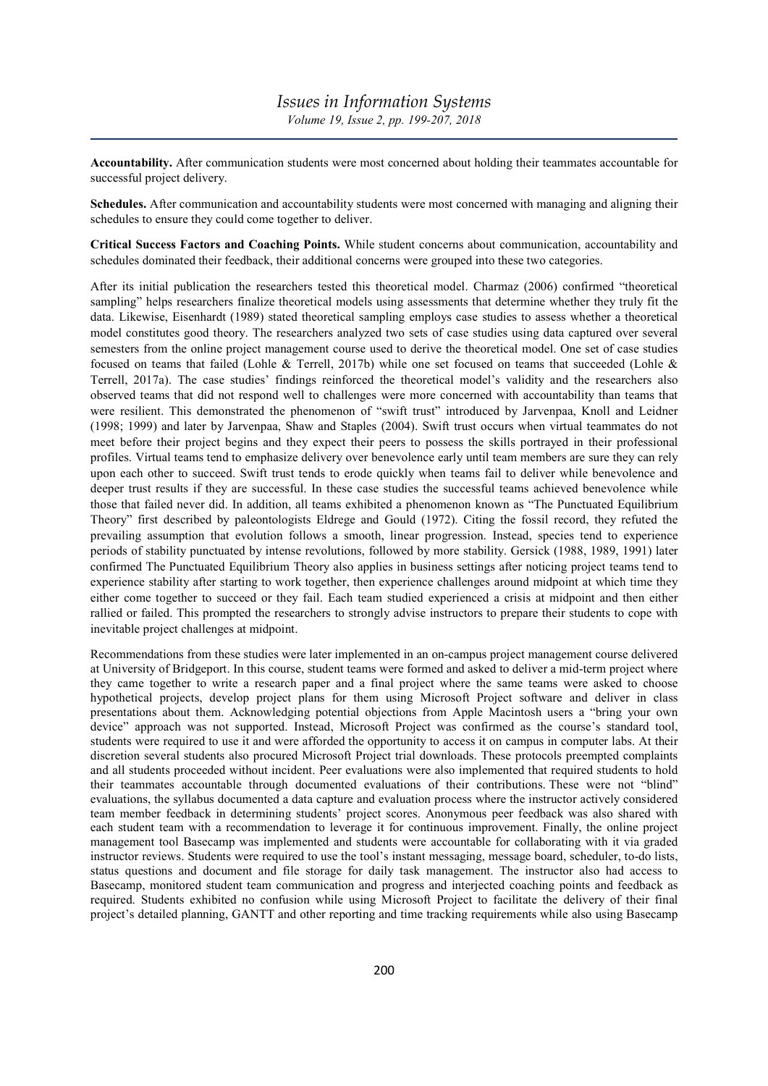Accountability. After communication students were most concerned about holding their teammates accountable for successful project delivery.

Schedules. After communication and accountability students were most concerned with managing and aligning their schedules to ensure they could come together to deliver.

Critical Success Factors and Coaching Points. While student concerns about communication, accountability and schedules dominated their feedback, their additional concerns were grouped into these two categories.

After its initial publication the researchers tested this theoretical model. Charmaz (2006) confirmed "theoretical sampling" helps researchers finalize theoretical models using assessments that determine whether they truly fit the data. Likewise, Eisenhardt (1989) stated theoretical sampling employs case studies to assess whether a theoretical model constitutes good theory. The researchers analyzed two sets of case studies using data captured over several semesters from the online project management course used to derive the theoretical model. One set of case studies focused on teams that failed (Lohle & Terrell, 2017b) while one set focused on teams that succeeded (Lohle & Terrell, 2017a). The case studies' findings reinforced the theoretical model's validity and the researchers also observed teams that did not respond well to challenges were more concerned with accountability than teams that were resilient. This demonstrated the phenomenon of "swift trust" introduced by Jarvenpaa, Knoll and Leidner (1998; 1999) and later by Jarvenpaa, Shaw and Staples (2004). Swift trust occurs when virtual teammates do not meet before their project begins and they expect their peers to possess the skills portrayed in their professional profiles. Virtual teams tend to emphasize delivery over benevolence early until team members are sure they can rely upon each other to succeed. Swift trust tends to erode quickly when teams fail to deliver while benevolence and deeper trust results if they are successful. In these case studies the successful teams achieved benevolence while those that failed never did. In addition, all teams exhibited a phenomenon known as "The Punctuated Equilibrium Theory" first described by paleontologists Eldrege and Gould (1972). Citing the fossil record, they refuted the prevailing assumption that evolution follows a smooth, linear progression. Instead, species tend to experience periods of stability punctuated by intense revolutions, followed by more stability. Gersick (1988, 1989, 1991) later confirmed The Punctuated Equilibrium Theory also applies in business settings after noticing project teams tend to experience stability after starting to work together, then experience challenges around midpoint at which time they either come together to succeed or they fail. Each team studied experienced a crisis at midpoint and then either rallied or failed. This prompted the researchers to strongly advise instructors to prepare their students to cope with inevitable project challenges at midpoint.

Recommendations from these studies were later implemented in an on-campus project management course delivered at University of Bridgeport. In this course, student teams were formed and asked to deliver a mid-term project where they came together to write a research paper and a final project where the same teams were asked to choose hypothetical projects, develop project plans for them using Microsoft Project software and deliver in class presentations about them. Acknowledging potential objections from Apple Macintosh users a "bring your own device" approach was not supported. Instead, Microsoft Project was confirmed as the course's standard tool, students were required to use it and were afforded the opportunity to access it on campus in computer labs. At their discretion several students also procured Microsoft Project trial downloads. These protocols preempted complaints and all students proceeded without incident. Peer evaluations were also implemented that required students to hold their teammates accountable through documented evaluations of their contributions. These were not "blind" evaluations, the syllabus documented a data capture and evaluation process where the instructor actively considered team member feedback in determining students' project scores. Anonymous peer feedback was also shared with each student team with a recommendation to leverage it for continuous improvement. Finally, the online project management tool Basecamp was implemented and students were accountable for collaborating with it via graded instructor reviews. Students were required to use the tool's instant messaging, message board, scheduler, to-do lists, status questions and document and file storage for daily task management. The instructor also had access to Basecamp, monitored student team communication and progress and interjected coaching points and feedback as required. Students exhibited no confusion while using Microsoft Project to facilitate the delivery of their final project's detailed planning, GANTT and other reporting and time tracking requirements while also using Basecamp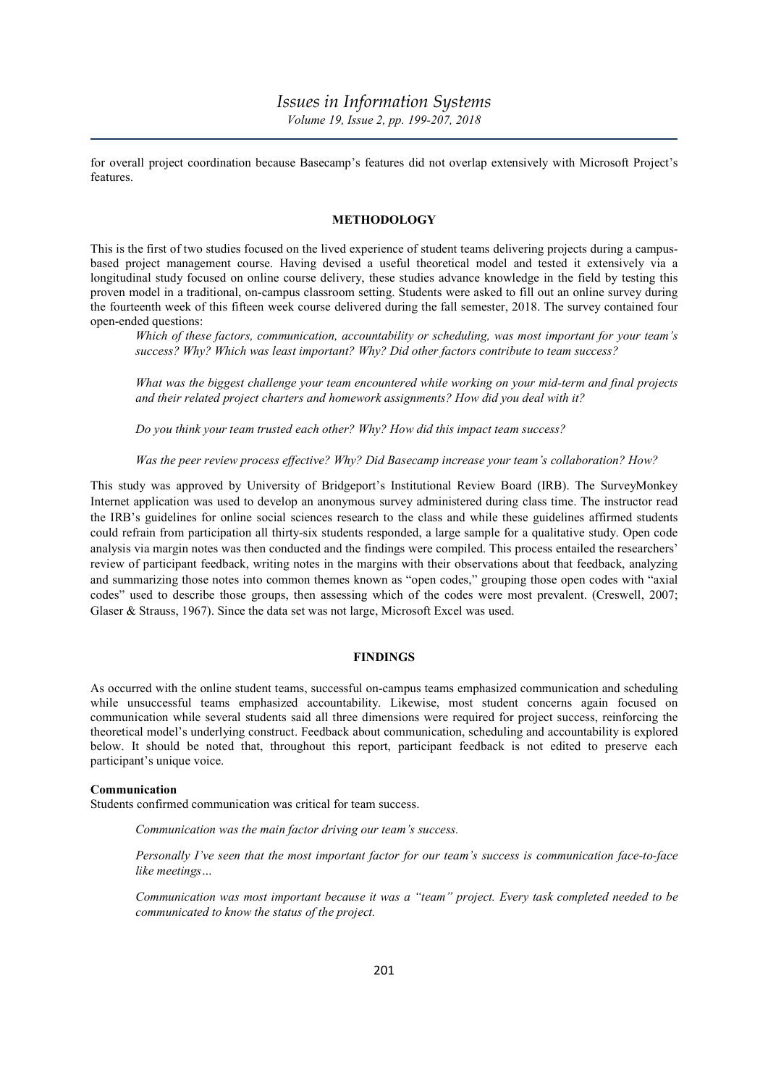# Issues in Information Systems Volume 19, Issue 2, pp. 199-207, 2018

for overall project coordination because Basecamp's features did not overlap extensively with Microsoft Project's features.

## **METHODOLOGY**

This is the first of two studies focused on the lived experience of student teams delivering projects during a campusbased project management course. Having devised a useful theoretical model and tested it extensively via a longitudinal study focused on online course delivery, these studies advance knowledge in the field by testing this proven model in a traditional, on-campus classroom setting. Students were asked to fill out an online survey during the fourteenth week of this fifteen week course delivered during the fall semester, 2018. The survey contained four open-ended questions:

Which of these factors, communication, accountability or scheduling, was most important for your team's success? Why? Which was least important? Why? Did other factors contribute to team success?

What was the biggest challenge your team encountered while working on your mid-term and final projects and their related project charters and homework assignments? How did you deal with it?

Do you think your team trusted each other? Why? How did this impact team success?

Was the peer review process effective? Why? Did Basecamp increase your team's collaboration? How?

This study was approved by University of Bridgeport's Institutional Review Board (IRB). The SurveyMonkey Internet application was used to develop an anonymous survey administered during class time. The instructor read the IRB's guidelines for online social sciences research to the class and while these guidelines affirmed students could refrain from participation all thirty-six students responded, a large sample for a qualitative study. Open code analysis via margin notes was then conducted and the findings were compiled. This process entailed the researchers' review of participant feedback, writing notes in the margins with their observations about that feedback, analyzing and summarizing those notes into common themes known as "open codes," grouping those open codes with "axial codes" used to describe those groups, then assessing which of the codes were most prevalent. (Creswell, 2007; Glaser & Strauss, 1967). Since the data set was not large, Microsoft Excel was used.

# FINDINGS

As occurred with the online student teams, successful on-campus teams emphasized communication and scheduling while unsuccessful teams emphasized accountability. Likewise, most student concerns again focused on communication while several students said all three dimensions were required for project success, reinforcing the theoretical model's underlying construct. Feedback about communication, scheduling and accountability is explored below. It should be noted that, throughout this report, participant feedback is not edited to preserve each participant's unique voice.

#### Communication

Students confirmed communication was critical for team success.

Communication was the main factor driving our team's success.

Personally I've seen that the most important factor for our team's success is communication face-to-face like meetings…

Communication was most important because it was a "team" project. Every task completed needed to be communicated to know the status of the project.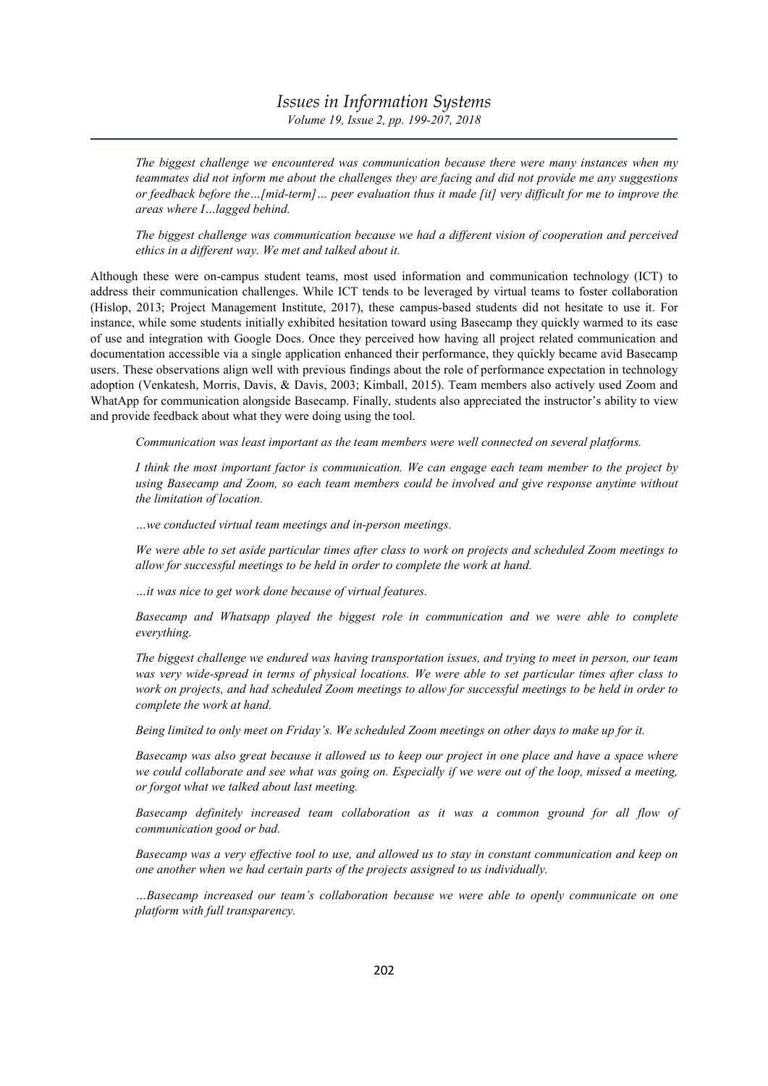# Issues in Information Systems Volume 19, Issue 2, pp. 199-207, 2018

The biggest challenge we encountered was communication because there were many instances when my teammates did not inform me about the challenges they are facing and did not provide me any suggestions or feedback before the…[mid-term]… peer evaluation thus it made [it] very difficult for me to improve the areas where I…lagged behind.

The biggest challenge was communication because we had a different vision of cooperation and perceived ethics in a different way. We met and talked about it.

Although these were on-campus student teams, most used information and communication technology (ICT) to address their communication challenges. While ICT tends to be leveraged by virtual teams to foster collaboration (Hislop, 2013; Project Management Institute, 2017), these campus-based students did not hesitate to use it. For instance, while some students initially exhibited hesitation toward using Basecamp they quickly warmed to its ease of use and integration with Google Docs. Once they perceived how having all project related communication and documentation accessible via a single application enhanced their performance, they quickly became avid Basecamp users. These observations align well with previous findings about the role of performance expectation in technology adoption (Venkatesh, Morris, Davis, & Davis, 2003; Kimball, 2015). Team members also actively used Zoom and WhatApp for communication alongside Basecamp. Finally, students also appreciated the instructor's ability to view and provide feedback about what they were doing using the tool.

Communication was least important as the team members were well connected on several platforms.

I think the most important factor is communication. We can engage each team member to the project by using Basecamp and Zoom, so each team members could be involved and give response anytime without the limitation of location.

…we conducted virtual team meetings and in-person meetings.

We were able to set aside particular times after class to work on projects and scheduled Zoom meetings to allow for successful meetings to be held in order to complete the work at hand.

…it was nice to get work done because of virtual features.

Basecamp and Whatsapp played the biggest role in communication and we were able to complete everything.

The biggest challenge we endured was having transportation issues, and trying to meet in person, our team was very wide-spread in terms of physical locations. We were able to set particular times after class to work on projects, and had scheduled Zoom meetings to allow for successful meetings to be held in order to complete the work at hand.

Being limited to only meet on Friday's. We scheduled Zoom meetings on other days to make up for it.

Basecamp was also great because it allowed us to keep our project in one place and have a space where we could collaborate and see what was going on. Especially if we were out of the loop, missed a meeting, or forgot what we talked about last meeting.

Basecamp definitely increased team collaboration as it was a common ground for all flow of communication good or bad.

Basecamp was a very effective tool to use, and allowed us to stay in constant communication and keep on one another when we had certain parts of the projects assigned to us individually.

…Basecamp increased our team's collaboration because we were able to openly communicate on one platform with full transparency.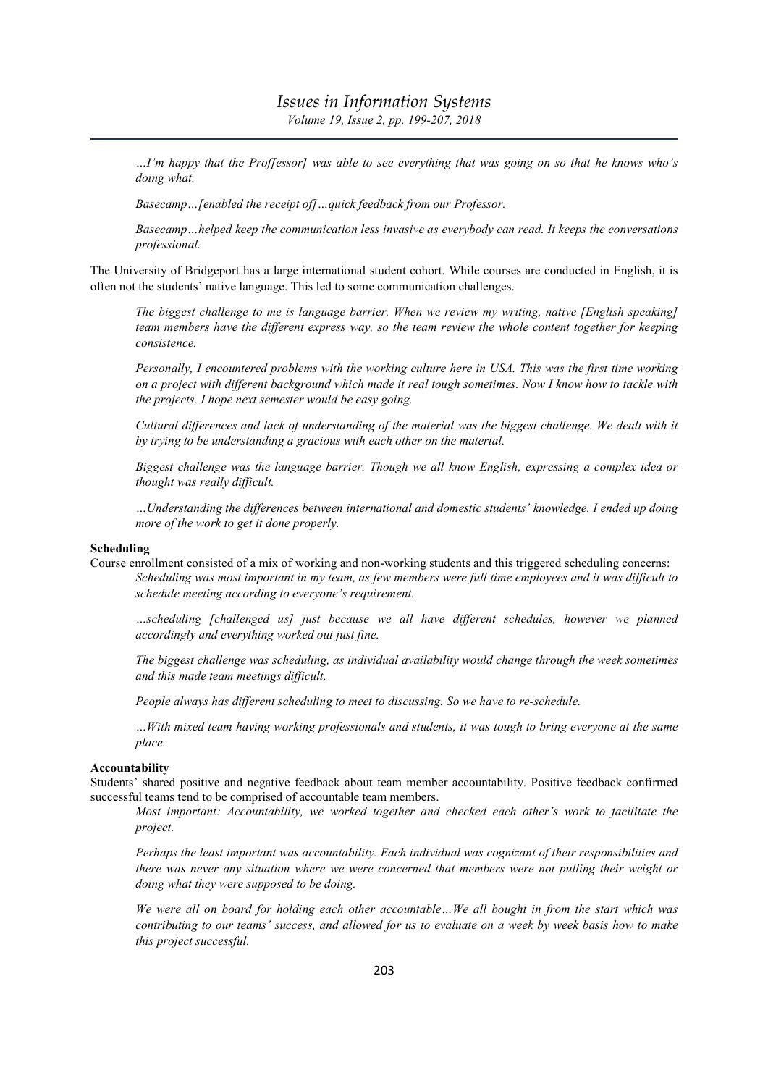…I'm happy that the Prof[essor] was able to see everything that was going on so that he knows who's doing what.

Basecamp…[enabled the receipt of]…quick feedback from our Professor.

Basecamp…helped keep the communication less invasive as everybody can read. It keeps the conversations professional.

The University of Bridgeport has a large international student cohort. While courses are conducted in English, it is often not the students' native language. This led to some communication challenges.

The biggest challenge to me is language barrier. When we review my writing, native [English speaking] team members have the different express way, so the team review the whole content together for keeping consistence.

Personally, I encountered problems with the working culture here in USA. This was the first time working on a project with different background which made it real tough sometimes. Now I know how to tackle with the projects. I hope next semester would be easy going.

Cultural differences and lack of understanding of the material was the biggest challenge. We dealt with it by trying to be understanding a gracious with each other on the material.

Biggest challenge was the language barrier. Though we all know English, expressing a complex idea or thought was really difficult.

…Understanding the differences between international and domestic students' knowledge. I ended up doing more of the work to get it done properly.

#### Scheduling

Course enrollment consisted of a mix of working and non-working students and this triggered scheduling concerns: Scheduling was most important in my team, as few members were full time employees and it was difficult to schedule meeting according to everyone's requirement.

…scheduling [challenged us] just because we all have different schedules, however we planned accordingly and everything worked out just fine.

The biggest challenge was scheduling, as individual availability would change through the week sometimes and this made team meetings difficult.

People always has different scheduling to meet to discussing. So we have to re-schedule.

…With mixed team having working professionals and students, it was tough to bring everyone at the same place.

## Accountability

Students' shared positive and negative feedback about team member accountability. Positive feedback confirmed successful teams tend to be comprised of accountable team members.

Most important: Accountability, we worked together and checked each other's work to facilitate the project.

Perhaps the least important was accountability. Each individual was cognizant of their responsibilities and there was never any situation where we were concerned that members were not pulling their weight or doing what they were supposed to be doing.

We were all on board for holding each other accountable...We all bought in from the start which was contributing to our teams' success, and allowed for us to evaluate on a week by week basis how to make this project successful.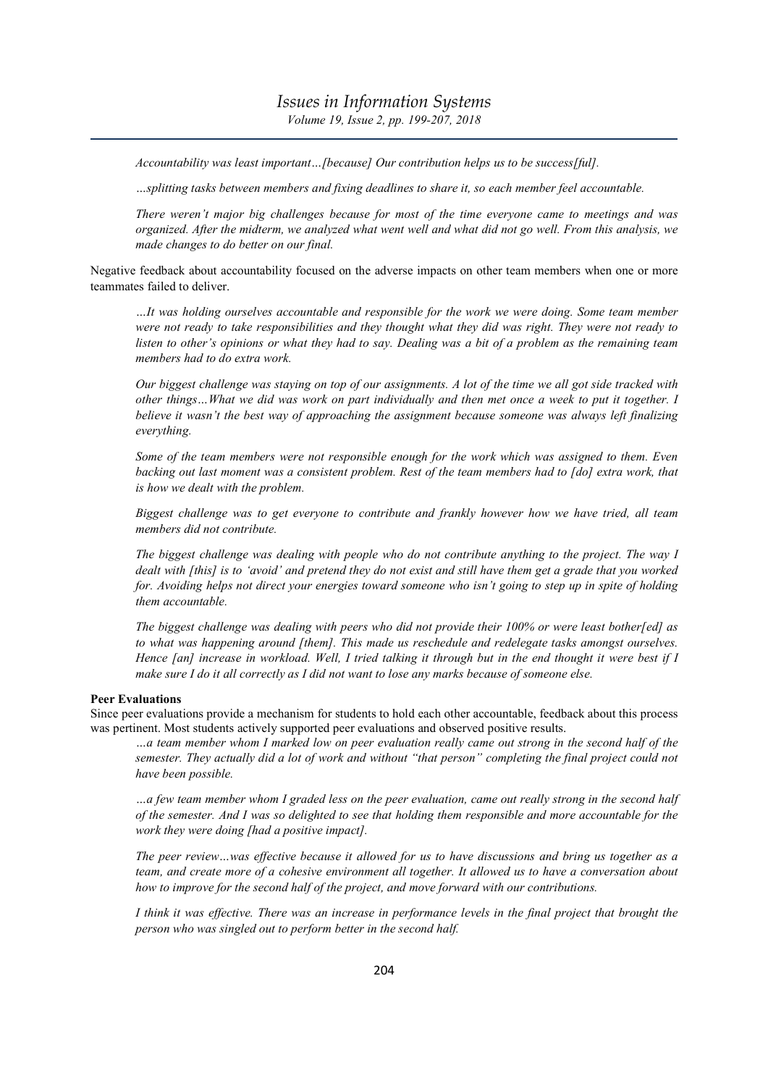Accountability was least important... [because] Our contribution helps us to be success[ful].

…splitting tasks between members and fixing deadlines to share it, so each member feel accountable.

There weren't major big challenges because for most of the time everyone came to meetings and was organized. After the midterm, we analyzed what went well and what did not go well. From this analysis, we made changes to do better on our final.

Negative feedback about accountability focused on the adverse impacts on other team members when one or more teammates failed to deliver.

…It was holding ourselves accountable and responsible for the work we were doing. Some team member were not ready to take responsibilities and they thought what they did was right. They were not ready to listen to other's opinions or what they had to say. Dealing was a bit of a problem as the remaining team members had to do extra work.

Our biggest challenge was staying on top of our assignments. A lot of the time we all got side tracked with other things…What we did was work on part individually and then met once a week to put it together. I believe it wasn't the best way of approaching the assignment because someone was always left finalizing everything.

Some of the team members were not responsible enough for the work which was assigned to them. Even backing out last moment was a consistent problem. Rest of the team members had to [do] extra work, that is how we dealt with the problem.

Biggest challenge was to get everyone to contribute and frankly however how we have tried, all team members did not contribute.

The biggest challenge was dealing with people who do not contribute anything to the project. The way I dealt with [this] is to 'avoid' and pretend they do not exist and still have them get a grade that you worked for. Avoiding helps not direct your energies toward someone who isn't going to step up in spite of holding them accountable.

The biggest challenge was dealing with peers who did not provide their 100% or were least bother[ed] as to what was happening around [them]. This made us reschedule and redelegate tasks amongst ourselves. Hence [an] increase in workload. Well, I tried talking it through but in the end thought it were best if I make sure I do it all correctly as I did not want to lose any marks because of someone else.

## Peer Evaluations

Since peer evaluations provide a mechanism for students to hold each other accountable, feedback about this process was pertinent. Most students actively supported peer evaluations and observed positive results.

…a team member whom I marked low on peer evaluation really came out strong in the second half of the semester. They actually did a lot of work and without "that person" completing the final project could not have been possible.

…a few team member whom I graded less on the peer evaluation, came out really strong in the second half of the semester. And I was so delighted to see that holding them responsible and more accountable for the work they were doing [had a positive impact].

The peer review…was effective because it allowed for us to have discussions and bring us together as a team, and create more of a cohesive environment all together. It allowed us to have a conversation about how to improve for the second half of the project, and move forward with our contributions.

I think it was effective. There was an increase in performance levels in the final project that brought the person who was singled out to perform better in the second half.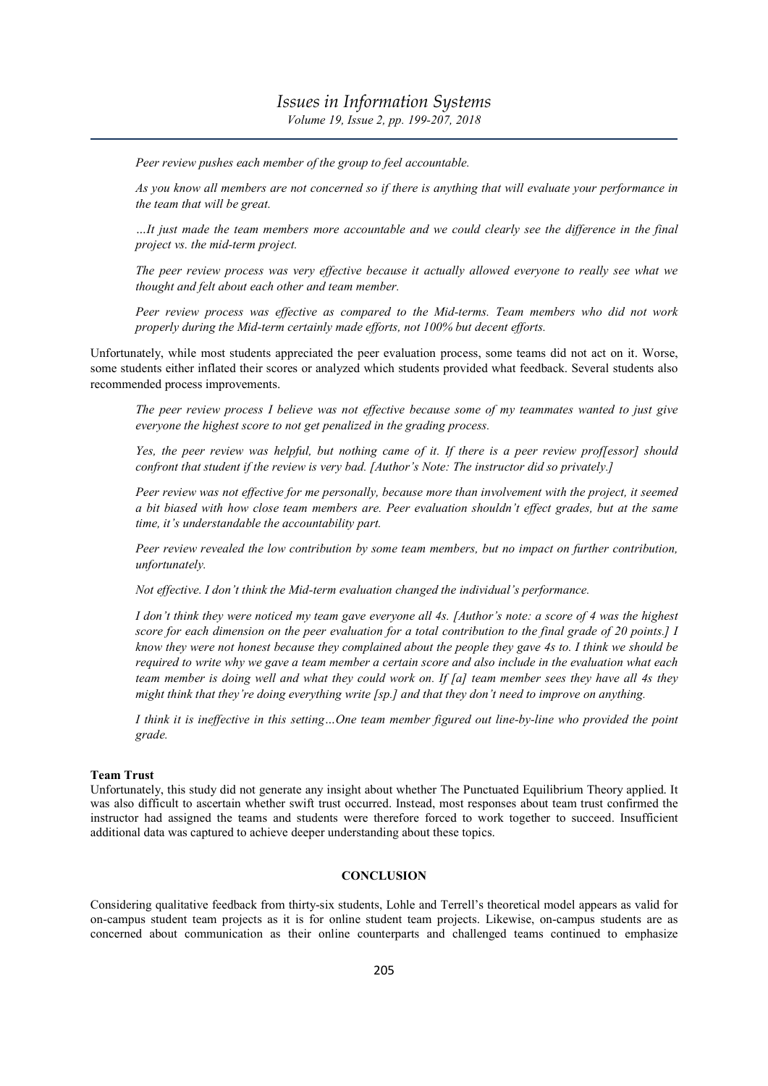Peer review pushes each member of the group to feel accountable.

As you know all members are not concerned so if there is anything that will evaluate your performance in the team that will be great.

…It just made the team members more accountable and we could clearly see the difference in the final project vs. the mid-term project.

The peer review process was very effective because it actually allowed everyone to really see what we thought and felt about each other and team member.

Peer review process was effective as compared to the Mid-terms. Team members who did not work properly during the Mid-term certainly made efforts, not 100% but decent efforts.

Unfortunately, while most students appreciated the peer evaluation process, some teams did not act on it. Worse, some students either inflated their scores or analyzed which students provided what feedback. Several students also recommended process improvements.

The peer review process I believe was not effective because some of my teammates wanted to just give everyone the highest score to not get penalized in the grading process.

Yes, the peer review was helpful, but nothing came of it. If there is a peer review prof[essor] should confront that student if the review is very bad. [Author's Note: The instructor did so privately.]

Peer review was not effective for me personally, because more than involvement with the project, it seemed a bit biased with how close team members are. Peer evaluation shouldn't effect grades, but at the same time, it's understandable the accountability part.

Peer review revealed the low contribution by some team members, but no impact on further contribution, unfortunately.

Not effective. I don't think the Mid-term evaluation changed the individual's performance.

I don't think they were noticed my team gave everyone all 4s. [Author's note: a score of 4 was the highest score for each dimension on the peer evaluation for a total contribution to the final grade of 20 points.] I know they were not honest because they complained about the people they gave 4s to. I think we should be required to write why we gave a team member a certain score and also include in the evaluation what each team member is doing well and what they could work on. If [a] team member sees they have all 4s they might think that they're doing everything write [sp.] and that they don't need to improve on anything.

I think it is ineffective in this setting…One team member figured out line-by-line who provided the point grade.

#### Team Trust

Unfortunately, this study did not generate any insight about whether The Punctuated Equilibrium Theory applied. It was also difficult to ascertain whether swift trust occurred. Instead, most responses about team trust confirmed the instructor had assigned the teams and students were therefore forced to work together to succeed. Insufficient additional data was captured to achieve deeper understanding about these topics.

#### **CONCLUSION**

Considering qualitative feedback from thirty-six students, Lohle and Terrell's theoretical model appears as valid for on-campus student team projects as it is for online student team projects. Likewise, on-campus students are as concerned about communication as their online counterparts and challenged teams continued to emphasize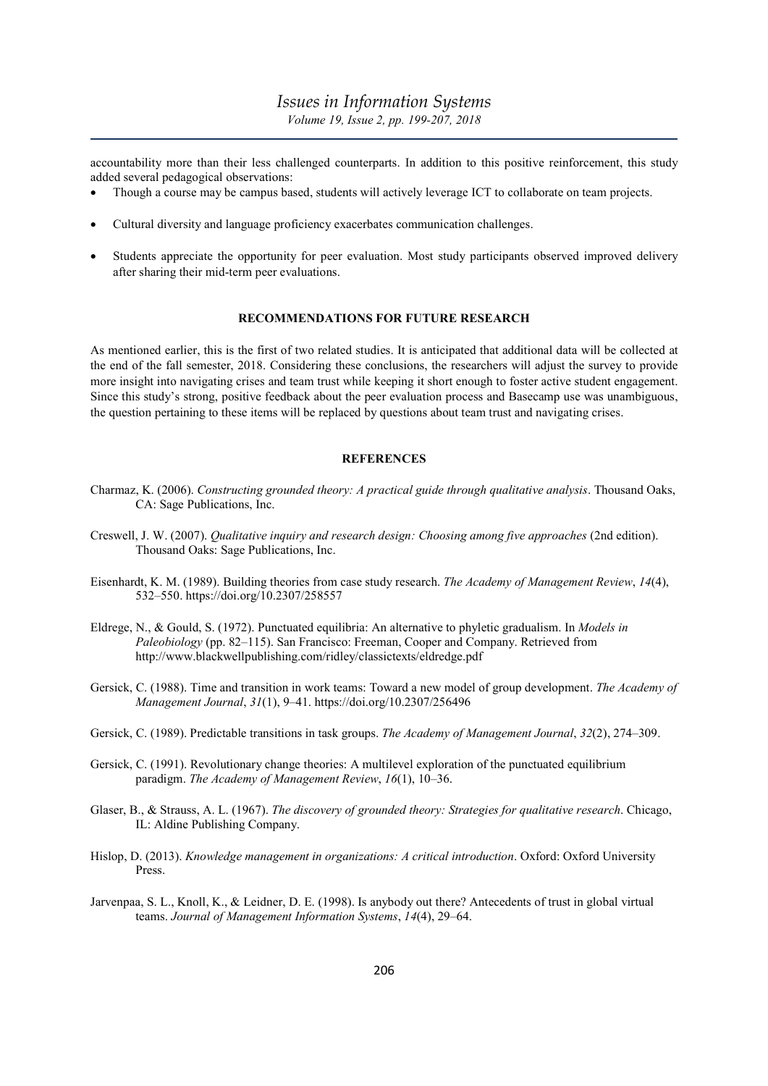accountability more than their less challenged counterparts. In addition to this positive reinforcement, this study added several pedagogical observations:

- Though a course may be campus based, students will actively leverage ICT to collaborate on team projects.
- Cultural diversity and language proficiency exacerbates communication challenges.
- Students appreciate the opportunity for peer evaluation. Most study participants observed improved delivery after sharing their mid-term peer evaluations.

## RECOMMENDATIONS FOR FUTURE RESEARCH

As mentioned earlier, this is the first of two related studies. It is anticipated that additional data will be collected at the end of the fall semester, 2018. Considering these conclusions, the researchers will adjust the survey to provide more insight into navigating crises and team trust while keeping it short enough to foster active student engagement. Since this study's strong, positive feedback about the peer evaluation process and Basecamp use was unambiguous, the question pertaining to these items will be replaced by questions about team trust and navigating crises.

### **REFERENCES**

- Charmaz, K. (2006). Constructing grounded theory: A practical guide through qualitative analysis. Thousand Oaks, CA: Sage Publications, Inc.
- Creswell, J. W. (2007). Qualitative inquiry and research design: Choosing among five approaches (2nd edition). Thousand Oaks: Sage Publications, Inc.
- Eisenhardt, K. M. (1989). Building theories from case study research. The Academy of Management Review, 14(4), 532–550. https://doi.org/10.2307/258557
- Eldrege, N., & Gould, S. (1972). Punctuated equilibria: An alternative to phyletic gradualism. In Models in Paleobiology (pp. 82–115). San Francisco: Freeman, Cooper and Company. Retrieved from http://www.blackwellpublishing.com/ridley/classictexts/eldredge.pdf
- Gersick, C. (1988). Time and transition in work teams: Toward a new model of group development. The Academy of Management Journal, 31(1), 9–41. https://doi.org/10.2307/256496
- Gersick, C. (1989). Predictable transitions in task groups. The Academy of Management Journal, 32(2), 274–309.
- Gersick, C. (1991). Revolutionary change theories: A multilevel exploration of the punctuated equilibrium paradigm. The Academy of Management Review, 16(1), 10–36.
- Glaser, B., & Strauss, A. L. (1967). The discovery of grounded theory: Strategies for qualitative research. Chicago, IL: Aldine Publishing Company.
- Hislop, D. (2013). Knowledge management in organizations: A critical introduction. Oxford: Oxford University Press.
- Jarvenpaa, S. L., Knoll, K., & Leidner, D. E. (1998). Is anybody out there? Antecedents of trust in global virtual teams. Journal of Management Information Systems, 14(4), 29–64.